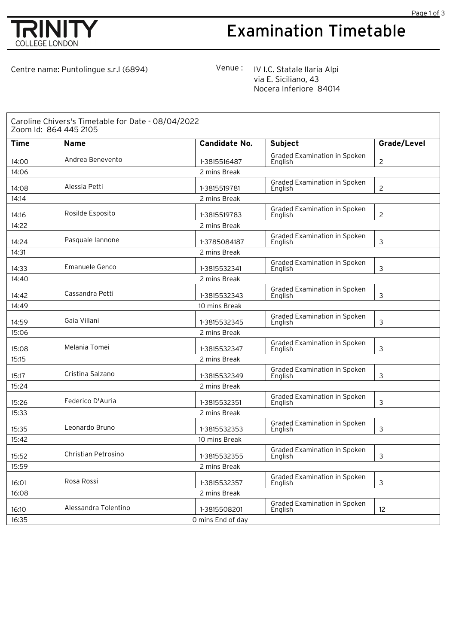

## Examination Timetable

Centre name: Puntolingue s.r.l (6894) Venue: IVI.C. Statale Ilaria Alpi via E. Siciliano, 43 Nocera Inferiore 84014

| Caroline Chivers's Timetable for Date - 08/04/2022<br>Zoom Id: 864 445 2105 |                       |                      |                                                |                |  |  |  |
|-----------------------------------------------------------------------------|-----------------------|----------------------|------------------------------------------------|----------------|--|--|--|
| <b>Time</b>                                                                 | <b>Name</b>           | <b>Candidate No.</b> | <b>Subject</b>                                 | Grade/Level    |  |  |  |
| 14:00                                                                       | Andrea Benevento      | 1-3815516487         | Graded Examination in Spoken<br>English        | 2              |  |  |  |
| 14:06                                                                       |                       | 2 mins Break         |                                                |                |  |  |  |
| 14:08                                                                       | Alessia Petti         | 1-3815519781         | Graded Examination in Spoken<br>English        | $\overline{c}$ |  |  |  |
| 14:14                                                                       |                       | 2 mins Break         |                                                |                |  |  |  |
| 14:16                                                                       | Rosilde Esposito      | 1-3815519783         | Graded Examination in Spoken<br>English        | $\overline{c}$ |  |  |  |
| 14:22                                                                       |                       | 2 mins Break         |                                                |                |  |  |  |
| 14:24                                                                       | Pasquale lannone      | 1-3785084187         | Graded Examination in Spoken<br>English        | 3              |  |  |  |
| 14:31                                                                       |                       | 2 mins Break         |                                                |                |  |  |  |
| 14:33                                                                       | <b>Emanuele Genco</b> | 1-3815532341         | Graded Examination in Spoken<br>English        | 3              |  |  |  |
| 14:40                                                                       |                       | 2 mins Break         |                                                |                |  |  |  |
| 14:42                                                                       | Cassandra Petti       | 1-3815532343         | Graded Examination in Spoken<br>English        | 3              |  |  |  |
| 14:49                                                                       |                       | 10 mins Break        |                                                |                |  |  |  |
| 14:59                                                                       | Gaia Villani          | 1-3815532345         | <b>Graded Examination in Spoken</b><br>English | 3              |  |  |  |
| 15:06                                                                       |                       | 2 mins Break         |                                                |                |  |  |  |
| 15:08                                                                       | Melania Tomei         | 1-3815532347         | Graded Examination in Spoken<br>English        | 3              |  |  |  |
| 15:15                                                                       | 2 mins Break          |                      |                                                |                |  |  |  |
| 15:17                                                                       | Cristina Salzano      | 1-3815532349         | Graded Examination in Spoken<br>English        | 3              |  |  |  |
| 15:24                                                                       |                       | 2 mins Break         |                                                |                |  |  |  |
| 15:26                                                                       | Federico D'Auria      | 1-3815532351         | Graded Examination in Spoken<br>English        | 3              |  |  |  |
| 15:33                                                                       | 2 mins Break          |                      |                                                |                |  |  |  |
| 15:35                                                                       | Leonardo Bruno        | 1-3815532353         | <b>Graded Examination in Spoken</b><br>English | 3              |  |  |  |
| 15:42                                                                       | 10 mins Break         |                      |                                                |                |  |  |  |
| 15:52                                                                       | Christian Petrosino   | 1-3815532355         | <b>Graded Examination in Spoken</b><br>English | 3              |  |  |  |
| 15:59                                                                       | 2 mins Break          |                      |                                                |                |  |  |  |
| 16:01                                                                       | Rosa Rossi            | 1-3815532357         | Graded Examination in Spoken<br>English        | 3              |  |  |  |
| 16:08                                                                       |                       | 2 mins Break         |                                                |                |  |  |  |
| 16:10                                                                       | Alessandra Tolentino  | 1-3815508201         | Graded Examination in Spoken<br>English        | 12             |  |  |  |
| 16:35                                                                       | O mins End of day     |                      |                                                |                |  |  |  |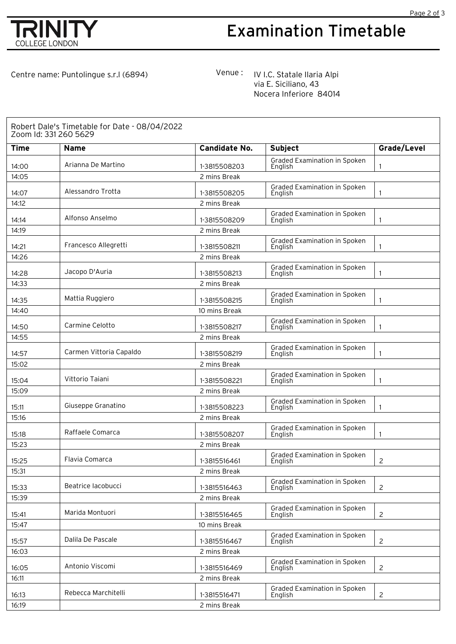

## Examination Timetable

Page 2 of 3

Centre name: Puntolingue s.r.l (6894) Venue: IVI.C. Statale Ilaria Alpi

via E. Siciliano, 43 Nocera Inferiore 84014

| Robert Dale's Timetable for Date - 08/04/2022<br>Zoom Id: 331 260 5629 |                         |                      |                                         |                |  |  |
|------------------------------------------------------------------------|-------------------------|----------------------|-----------------------------------------|----------------|--|--|
| <b>Time</b>                                                            | <b>Name</b>             | <b>Candidate No.</b> | <b>Subject</b>                          | Grade/Level    |  |  |
| 14:00                                                                  | Arianna De Martino      | 1-3815508203         | Graded Examination in Spoken<br>English | 1              |  |  |
| 14:05                                                                  |                         | 2 mins Break         |                                         |                |  |  |
| 14:07                                                                  | Alessandro Trotta       | 1-3815508205         | Graded Examination in Spoken<br>English | 1              |  |  |
| 14:12                                                                  | 2 mins Break            |                      |                                         |                |  |  |
| 14:14                                                                  | Alfonso Anselmo         | 1-3815508209         | Graded Examination in Spoken<br>English | 1              |  |  |
| 14:19                                                                  |                         | 2 mins Break         |                                         |                |  |  |
| 14:21                                                                  | Francesco Allegretti    | 1-3815508211         | Graded Examination in Spoken<br>English | 1              |  |  |
| 14:26                                                                  |                         | 2 mins Break         |                                         |                |  |  |
| 14:28                                                                  | Jacopo D'Auria          | 1-3815508213         | Graded Examination in Spoken<br>English | 1              |  |  |
| 14:33                                                                  |                         | 2 mins Break         |                                         |                |  |  |
| 14:35                                                                  | Mattia Ruggiero         | 1-3815508215         | Graded Examination in Spoken<br>English | 1              |  |  |
| 14:40                                                                  |                         | 10 mins Break        |                                         |                |  |  |
| 14:50                                                                  | Carmine Celotto         | 1-3815508217         | Graded Examination in Spoken<br>Enalish | 1              |  |  |
| 14:55                                                                  |                         | 2 mins Break         |                                         |                |  |  |
| 14:57                                                                  | Carmen Vittoria Capaldo | 1-3815508219         | Graded Examination in Spoken<br>English | 1              |  |  |
| 15:02                                                                  |                         | 2 mins Break         |                                         |                |  |  |
| 15:04                                                                  | Vittorio Taiani         | 1-3815508221         | Graded Examination in Spoken<br>English | 1              |  |  |
| 15:09                                                                  |                         | 2 mins Break         |                                         |                |  |  |
| 15:11                                                                  | Giuseppe Granatino      | 1-3815508223         | Graded Examination in Spoken<br>English | 1              |  |  |
| 15:16                                                                  |                         | 2 mins Break         |                                         |                |  |  |
| 15:18                                                                  | Raffaele Comarca        | 1-3815508207         | Graded Examination in Spoken<br>English | 1              |  |  |
| 15:23                                                                  |                         | 2 mins Break         |                                         |                |  |  |
| 15:25                                                                  | Flavia Comarca          | 1-3815516461         | Graded Examination in Spoken<br>English | $\overline{c}$ |  |  |
| 15:31                                                                  |                         | 2 mins Break         |                                         |                |  |  |
| 15:33                                                                  | Beatrice lacobucci      | 1-3815516463         | Graded Examination in Spoken<br>English | $\overline{2}$ |  |  |
| 15:39                                                                  |                         | 2 mins Break         |                                         |                |  |  |
| 15:41                                                                  | Marida Montuori         | 1-3815516465         | Graded Examination in Spoken<br>English | $\overline{2}$ |  |  |
| 15:47                                                                  |                         | 10 mins Break        |                                         |                |  |  |
| 15:57                                                                  | Dalila De Pascale       | 1-3815516467         | Graded Examination in Spoken<br>English | $\overline{c}$ |  |  |
| 16:03                                                                  | 2 mins Break            |                      |                                         |                |  |  |
| 16:05                                                                  | Antonio Viscomi         | 1-3815516469         | Graded Examination in Spoken<br>English | $\overline{2}$ |  |  |
| 16:11                                                                  |                         | 2 mins Break         |                                         |                |  |  |
| 16:13                                                                  | Rebecca Marchitelli     | 1-3815516471         | Graded Examination in Spoken<br>English | $\overline{2}$ |  |  |
| 16:19                                                                  |                         | 2 mins Break         |                                         |                |  |  |